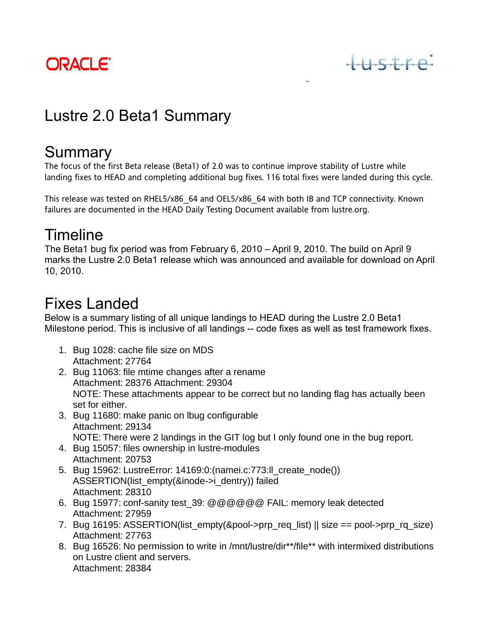

# $HSSire$

## Lustre 2.0 Beta1 Summary

### **Summary**

The focus of the first Beta release (Beta1) of 2.0 was to continue improve stability of Lustre while landing fixes to HEAD and completing additional bug fixes. 116 total fixes were landed during this cycle.

This release was tested on RHEL5/x86\_64 and OEL5/x86\_64 with both IB and TCP connectivity. Known failures are documented in the HEAD Daily Testing Document available from lustre.org.

#### Timeline

The Beta1 bug fix period was from February 6, 2010 – April 9, 2010. The build on April 9 marks the Lustre 2.0 Beta1 release which was announced and available for download on April 10, 2010.

## Fixes Landed

Below is a summary listing of all unique landings to HEAD during the Lustre 2.0 Beta1 Milestone period. This is inclusive of all landings -- code fixes as well as test framework fixes.

- 1. Bug 1028: cache file size on MDS Attachment: 27764
- 2. Bug 11063: file mtime changes after a rename Attachment: 28376 Attachment: 29304 NOTE: These attachments appear to be correct but no landing flag has actually been set for either.
- 3. Bug 11680: make panic on lbug configurable Attachment: 29134 NOTE: There were 2 landings in the GIT log but I only found one in the bug report.
- 4. Bug 15057: files ownership in lustre-modules Attachment: 20753
- 5. Bug 15962: LustreError: 14169:0:(namei.c:773:ll\_create\_node()) ASSERTION(list\_empty(&inode->i\_dentry)) failed Attachment: 28310
- 6. Bug 15977: conf-sanity test\_39: @@@@@@ FAIL: memory leak detected Attachment: 27959
- 7. Bug 16195: ASSERTION(list\_empty(&pool->prp\_req\_list) || size == pool->prp\_rq\_size) Attachment: 27763
- 8. Bug 16526: No permission to write in /mnt/lustre/dir\*\*/file\*\* with intermixed distributions on Lustre client and servers. Attachment: 28384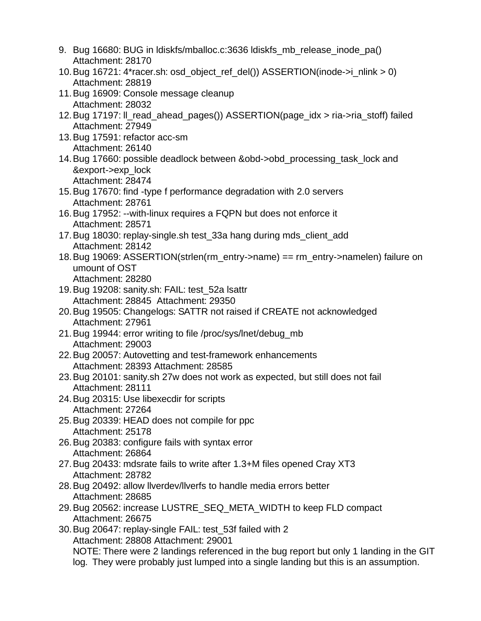- 9. Bug 16680: BUG in ldiskfs/mballoc.c:3636 ldiskfs\_mb\_release\_inode\_pa() Attachment: 28170
- 10.Bug 16721: 4\*racer.sh: osd\_object\_ref\_del()) ASSERTION(inode->i\_nlink > 0) Attachment: 28819
- 11.Bug 16909: Console message cleanup Attachment: 28032
- 12.Bug 17197: ll\_read\_ahead\_pages()) ASSERTION(page\_idx > ria->ria\_stoff) failed Attachment: 27949
- 13.Bug 17591: refactor acc-sm Attachment: 26140
- 14.Bug 17660: possible deadlock between &obd->obd\_processing\_task\_lock and &export->exp\_lock Attachment: 28474
- 15.Bug 17670: find -type f performance degradation with 2.0 servers Attachment: 28761
- 16.Bug 17952: --with-linux requires a FQPN but does not enforce it Attachment: 28571
- 17.Bug 18030: replay-single.sh test\_33a hang during mds\_client\_add Attachment: 28142
- 18.Bug 19069: ASSERTION(strlen(rm\_entry->name) == rm\_entry->namelen) failure on umount of OST Attachment: 28280
- 19.Bug 19208: sanity.sh: FAIL: test\_52a lsattr Attachment: 28845 Attachment: 29350
- 20.Bug 19505: Changelogs: SATTR not raised if CREATE not acknowledged Attachment: 27961
- 21.Bug 19944: error writing to file /proc/sys/lnet/debug\_mb Attachment: 29003
- 22.Bug 20057: Autovetting and test-framework enhancements Attachment: 28393 Attachment: 28585
- 23.Bug 20101: sanity.sh 27w does not work as expected, but still does not fail Attachment: 28111
- 24.Bug 20315: Use libexecdir for scripts Attachment: 27264
- 25.Bug 20339: HEAD does not compile for ppc Attachment: 25178
- 26.Bug 20383: configure fails with syntax error Attachment: 26864
- 27.Bug 20433: mdsrate fails to write after 1.3+M files opened Cray XT3 Attachment: 28782
- 28.Bug 20492: allow llverdev/llverfs to handle media errors better Attachment: 28685
- 29.Bug 20562: increase LUSTRE\_SEQ\_META\_WIDTH to keep FLD compact Attachment: 26675
- 30.Bug 20647: replay-single FAIL: test\_53f failed with 2 Attachment: 28808 Attachment: 29001 NOTE: There were 2 landings referenced in the bug report but only 1 landing in the GIT log. They were probably just lumped into a single landing but this is an assumption.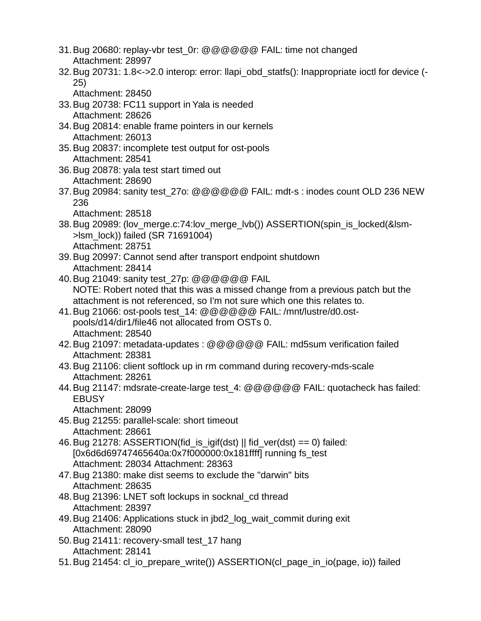- 31.Bug 20680: replay-vbr test\_0r: @@@@@@ FAIL: time not changed Attachment: 28997
- 32.Bug 20731: 1.8<->2.0 interop: error: llapi\_obd\_statfs(): Inappropriate ioctl for device (- 25)
	- Attachment: 28450
- 33.Bug 20738: FC11 support in Yala is needed Attachment: 28626
- 34.Bug 20814: enable frame pointers in our kernels Attachment: 26013
- 35.Bug 20837: incomplete test output for ost-pools Attachment: 28541
- 36.Bug 20878: yala test start timed out Attachment: 28690
- 37.Bug 20984: sanity test\_27o: @@@@@@ FAIL: mdt-s : inodes count OLD 236 NEW 236

- 38.Bug 20989: (lov\_merge.c:74:lov\_merge\_lvb()) ASSERTION(spin\_is\_locked(&lsm- >lsm\_lock)) failed (SR 71691004) Attachment: 28751
- 39.Bug 20997: Cannot send after transport endpoint shutdown Attachment: 28414
- 40.Bug 21049: sanity test\_27p: @@@@@@ FAIL NOTE: Robert noted that this was a missed change from a previous patch but the attachment is not referenced, so I'm not sure which one this relates to.
- 41.Bug 21066: ost-pools test\_14: @@@@@@ FAIL: /mnt/lustre/d0.ostpools/d14/dir1/file46 not allocated from OSTs 0. Attachment: 28540
- 42.Bug 21097: metadata-updates : @@@@@@ FAIL: md5sum verification failed Attachment: 28381
- 43.Bug 21106: client softlock up in rm command during recovery-mds-scale Attachment: 28261
- 44.Bug 21147: mdsrate-create-large test\_4: @@@@@@ FAIL: quotacheck has failed: **EBUSY**

Attachment: 28099

- 45.Bug 21255: parallel-scale: short timeout Attachment: 28661
- 46. Bug 21278: ASSERTION(fid\_is\_igif(dst)  $\parallel$  fid\_ver(dst) == 0) failed: [0x6d6d69747465640a:0x7f000000:0x181ffff] running fs\_test Attachment: 28034 Attachment: 28363
- 47.Bug 21380: make dist seems to exclude the "darwin" bits Attachment: 28635
- 48.Bug 21396: LNET soft lockups in socknal\_cd thread Attachment: 28397
- 49.Bug 21406: Applications stuck in jbd2\_log\_wait\_commit during exit Attachment: 28090
- 50.Bug 21411: recovery-small test\_17 hang Attachment: 28141
- 51.Bug 21454: cl\_io\_prepare\_write()) ASSERTION(cl\_page\_in\_io(page, io)) failed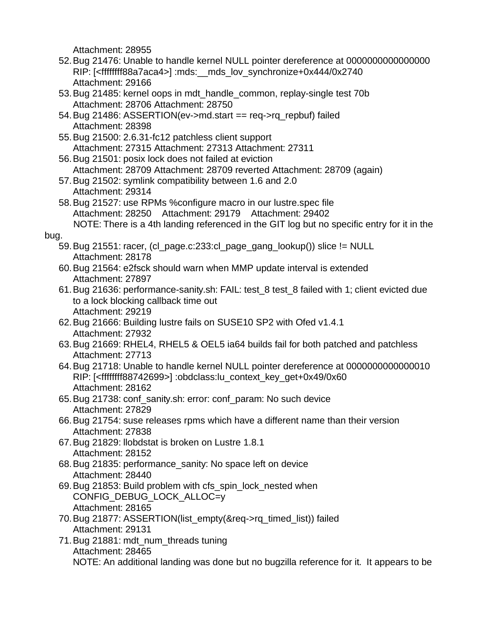- 52.Bug 21476: Unable to handle kernel NULL pointer dereference at 0000000000000000 RIP: [<ffffffff88a7aca4>] :mds:\_\_mds\_lov\_synchronize+0x444/0x2740 Attachment: 29166
- 53.Bug 21485: kernel oops in mdt\_handle\_common, replay-single test 70b Attachment: 28706 Attachment: 28750
- 54.Bug 21486: ASSERTION(ev->md.start == req->rq\_repbuf) failed Attachment: 28398
- 55.Bug 21500: 2.6.31-fc12 patchless client support Attachment: 27315 Attachment: 27313 Attachment: 27311
- 56.Bug 21501: posix lock does not failed at eviction Attachment: 28709 Attachment: 28709 reverted Attachment: 28709 (again)
- 57.Bug 21502: symlink compatibility between 1.6 and 2.0 Attachment: 29314
- 58.Bug 21527: use RPMs %configure macro in our lustre.spec file Attachment: 28250 Attachment: 29179 Attachment: 29402 NOTE: There is a 4th landing referenced in the GIT log but no specific entry for it in the

#### bug.

- 59.Bug 21551: racer, (cl\_page.c:233:cl\_page\_gang\_lookup()) slice != NULL Attachment: 28178
- 60.Bug 21564: e2fsck should warn when MMP update interval is extended Attachment: 27897
- 61.Bug 21636: performance-sanity.sh: FAIL: test\_8 test\_8 failed with 1; client evicted due to a lock blocking callback time out Attachment: 29219
- 62.Bug 21666: Building lustre fails on SUSE10 SP2 with Ofed v1.4.1 Attachment: 27932
- 63.Bug 21669: RHEL4, RHEL5 & OEL5 ia64 builds fail for both patched and patchless Attachment: 27713
- 64.Bug 21718: Unable to handle kernel NULL pointer dereference at 0000000000000010 RIP: [<ffffffff88742699>] :obdclass:lu\_context\_key\_get+0x49/0x60 Attachment: 28162
- 65.Bug 21738: conf\_sanity.sh: error: conf\_param: No such device Attachment: 27829
- 66.Bug 21754: suse releases rpms which have a different name than their version Attachment: 27838
- 67.Bug 21829: llobdstat is broken on Lustre 1.8.1 Attachment: 28152
- 68.Bug 21835: performance\_sanity: No space left on device Attachment: 28440
- 69.Bug 21853: Build problem with cfs\_spin\_lock\_nested when CONFIG\_DEBUG\_LOCK\_ALLOC=y Attachment: 28165
- 70. Bug 21877: ASSERTION(list\_empty(&req->rq\_timed\_list)) failed Attachment: 29131
- 71.Bug 21881: mdt\_num\_threads tuning Attachment: 28465 NOTE: An additional landing was done but no bugzilla reference for it. It appears to be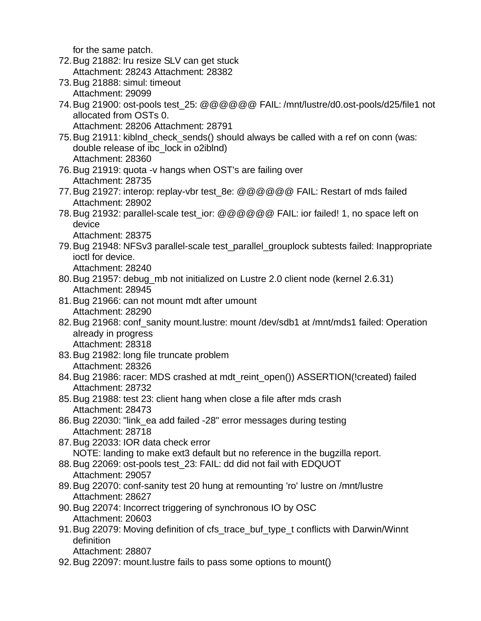for the same patch.

- 72.Bug 21882: lru resize SLV can get stuck Attachment: 28243 Attachment: 28382
- 73.Bug 21888: simul: timeout Attachment: 29099
- 74.Bug 21900: ost-pools test\_25: @@@@@@ FAIL: /mnt/lustre/d0.ost-pools/d25/file1 not allocated from OSTs 0.

Attachment: 28206 Attachment: 28791

- 75.Bug 21911: kiblnd\_check\_sends() should always be called with a ref on conn (was: double release of ibc\_lock in o2iblnd) Attachment: 28360
- 76.Bug 21919: quota -v hangs when OST's are failing over Attachment: 28735
- 77. Bug 21927: interop: replay-vbr test 8e: @@@@@@ FAIL: Restart of mds failed Attachment: 28902
- 78.Bug 21932: parallel-scale test\_ior: @@@@@@ FAIL: ior failed! 1, no space left on device

Attachment: 28375

79.Bug 21948: NFSv3 parallel-scale test\_parallel\_grouplock subtests failed: Inappropriate ioctl for device.

Attachment: 28240

- 80.Bug 21957: debug\_mb not initialized on Lustre 2.0 client node (kernel 2.6.31) Attachment: 28945
- 81.Bug 21966: can not mount mdt after umount Attachment: 28290
- 82.Bug 21968: conf\_sanity mount.lustre: mount /dev/sdb1 at /mnt/mds1 failed: Operation already in progress Attachment: 28318
- 83.Bug 21982: long file truncate problem Attachment: 28326
- 84.Bug 21986: racer: MDS crashed at mdt\_reint\_open()) ASSERTION(!created) failed Attachment: 28732
- 85.Bug 21988: test 23: client hang when close a file after mds crash Attachment: 28473
- 86.Bug 22030: "link\_ea add failed -28" error messages during testing Attachment: 28718
- 87.Bug 22033: IOR data check error NOTE: landing to make ext3 default but no reference in the bugzilla report.

88.Bug 22069: ost-pools test\_23: FAIL: dd did not fail with EDQUOT Attachment: 29057

- 89.Bug 22070: conf-sanity test 20 hung at remounting 'ro' lustre on /mnt/lustre Attachment: 28627
- 90.Bug 22074: Incorrect triggering of synchronous IO by OSC Attachment: 20603
- 91.Bug 22079: Moving definition of cfs\_trace\_buf\_type\_t conflicts with Darwin/Winnt definition

```
Attachment: 28807
```
92.Bug 22097: mount.lustre fails to pass some options to mount()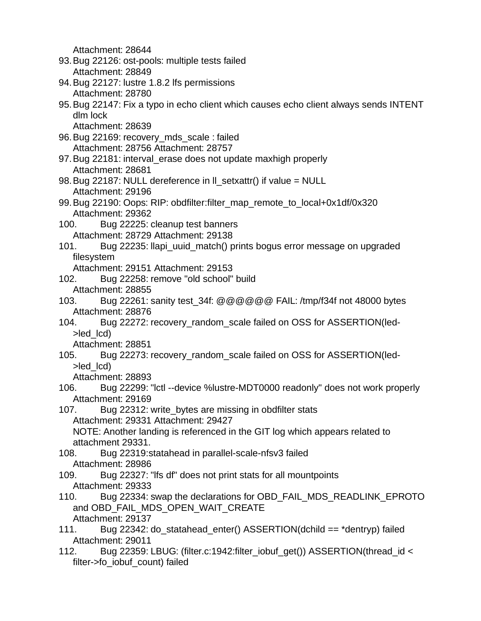- 93.Bug 22126: ost-pools: multiple tests failed Attachment: 28849
- 94.Bug 22127: lustre 1.8.2 lfs permissions Attachment: 28780
- 95.Bug 22147: Fix a typo in echo client which causes echo client always sends INTENT dlm lock

Attachment: 28639

- 96.Bug 22169: recovery\_mds\_scale : failed Attachment: 28756 Attachment: 28757
- 97.Bug 22181: interval\_erase does not update maxhigh properly Attachment: 28681
- 98.Bug 22187: NULL dereference in ll\_setxattr() if value = NULL Attachment: 29196
- 99.Bug 22190: Oops: RIP: obdfilter:filter\_map\_remote\_to\_local+0x1df/0x320 Attachment: 29362
- 100. Bug 22225: cleanup test banners Attachment: 28729 Attachment: 29138
- 101. Bug 22235: llapi\_uuid\_match() prints bogus error message on upgraded filesystem
	- Attachment: 29151 Attachment: 29153
- 102. Bug 22258: remove "old school" build Attachment: 28855
- 103. Bug 22261: sanity test\_34f: @@@@@@ FAIL: /tmp/f34f not 48000 bytes Attachment: 28876
- 104. Bug 22272: recovery\_random\_scale failed on OSS for ASSERTION(led- >led\_lcd)

Attachment: 28851

105. Bug 22273: recovery\_random\_scale failed on OSS for ASSERTION(led- >led\_lcd)

Attachment: 28893

- 106. Bug 22299: "lctl --device %lustre-MDT0000 readonly" does not work properly Attachment: 29169
- 107. Bug 22312: write\_bytes are missing in obdfilter stats Attachment: 29331 Attachment: 29427

NOTE: Another landing is referenced in the GIT log which appears related to attachment 29331.

- 108. Bug 22319:statahead in parallel-scale-nfsv3 failed Attachment: 28986
- 109. Bug 22327: "lfs df" does not print stats for all mountpoints Attachment: 29333
- 110. Bug 22334: swap the declarations for OBD\_FAIL\_MDS\_READLINK\_EPROTO and OBD\_FAIL\_MDS\_OPEN\_WAIT\_CREATE Attachment: 29137
- 111. Bug 22342: do\_statahead\_enter() ASSERTION(dchild == \*dentryp) failed Attachment: 29011
- 112. Bug 22359: LBUG: (filter.c:1942:filter\_iobuf\_get()) ASSERTION(thread\_id < filter->fo\_iobuf\_count) failed